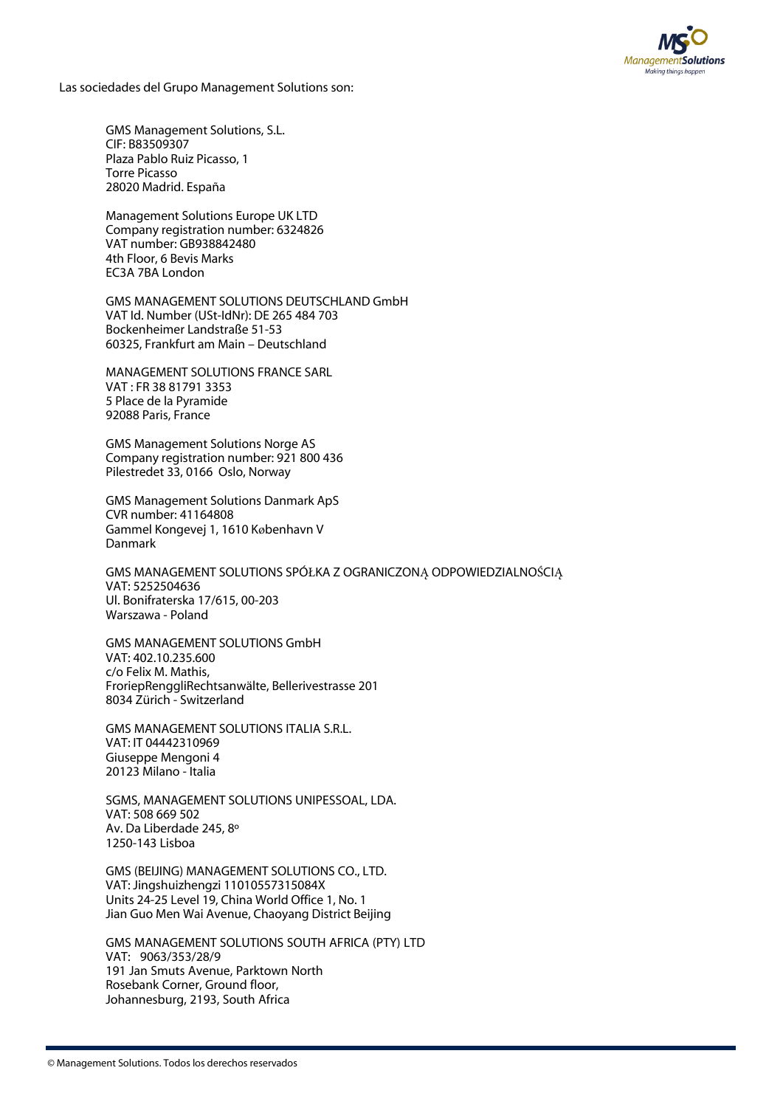

Las sociedades del Grupo Management Solutions son:

GMS Management Solutions, S.L. CIF: B83509307 Plaza Pablo Ruiz Picasso, 1 Torre Picasso 28020 Madrid. España

Management Solutions Europe UK LTD Company registration number: 6324826 VAT number: GB938842480 4th Floor, 6 Bevis Marks EC3A 7BA London

GMS MANAGEMENT SOLUTIONS DEUTSCHLAND GmbH VAT Id. Number (USt-IdNr): DE 265 484 703 Bockenheimer Landstraße 51-53 60325, Frankfurt am Main – Deutschland

MANAGEMENT SOLUTIONS FRANCE SARL VAT : FR 38 81791 3353 5 Place de la Pyramide 92088 Paris, France

GMS Management Solutions Norge AS Company registration number: 921 800 436 Pilestredet 33, 0166 Oslo, Norway

GMS Management Solutions Danmark ApS CVR number: 41164808 Gammel Kongevej 1, 1610 København V Danmark

GMS MANAGEMENT SOLUTIONS SPÓŁKA Z OGRANICZONĄ ODPOWIEDZIALNOŚCIĄ VAT: 5252504636 Ul. Bonifraterska 17/615, 00-203 Warszawa - Poland

GMS MANAGEMENT SOLUTIONS GmbH VAT: 402.10.235.600 c/o Felix M. Mathis, FroriepRenggliRechtsanwälte, Bellerivestrasse 201 8034 Zürich - Switzerland

GMS MANAGEMENT SOLUTIONS ITALIA S.R.L. VAT: IT 04442310969 Giuseppe Mengoni 4 20123 Milano - Italia

SGMS, MANAGEMENT SOLUTIONS UNIPESSOAL, LDA. VAT: 508 669 502 Av. Da Liberdade 245, 8º 1250-143 Lisboa

GMS (BEIJING) MANAGEMENT SOLUTIONS CO., LTD. VAT: Jingshuizhengzi 11010557315084X Units 24-25 Level 19, China World Office 1, No. 1 Jian Guo Men Wai Avenue, Chaoyang District Beijing

GMS MANAGEMENT SOLUTIONS SOUTH AFRICA (PTY) LTD VAT: 9063/353/28/9 191 Jan Smuts Avenue, Parktown North Rosebank Corner, Ground floor, Johannesburg, 2193, South Africa